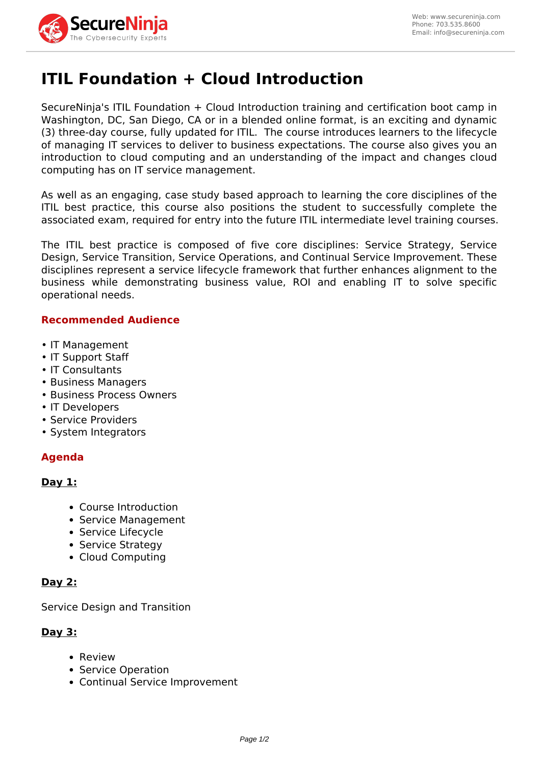

# **ITIL Foundation + Cloud Introduction**

SecureNinja's ITIL Foundation + Cloud Introduction training and certification boot camp in Washington, DC, San Diego, CA or in a blended online format, is an exciting and dynamic (3) three-day course, fully updated for ITIL. The course introduces learners to the lifecycle of managing IT services to deliver to business expectations. The course also gives you an introduction to cloud computing and an understanding of the impact and changes cloud computing has on IT service management.

As well as an engaging, case study based approach to learning the core disciplines of the ITIL best practice, this course also positions the student to successfully complete the associated exam, required for entry into the future ITIL intermediate level training courses.

The ITIL best practice is composed of five core disciplines: Service Strategy, Service Design, Service Transition, Service Operations, and Continual Service Improvement. These disciplines represent a service lifecycle framework that further enhances alignment to the business while demonstrating business value, ROI and enabling IT to solve specific operational needs.

## **Recommended Audience**

- IT Management
- IT Support Staff
- IT Consultants
- Business Managers
- Business Process Owners
- IT Developers
- Service Providers
- System Integrators

# **Agenda**

## **Day 1:**

- Course Introduction
- Service Management
- Service Lifecycle
- Service Strategy
- Cloud Computing

## **Day 2:**

Service Design and Transition

## **Day 3:**

- Review
- Service Operation
- Continual Service Improvement